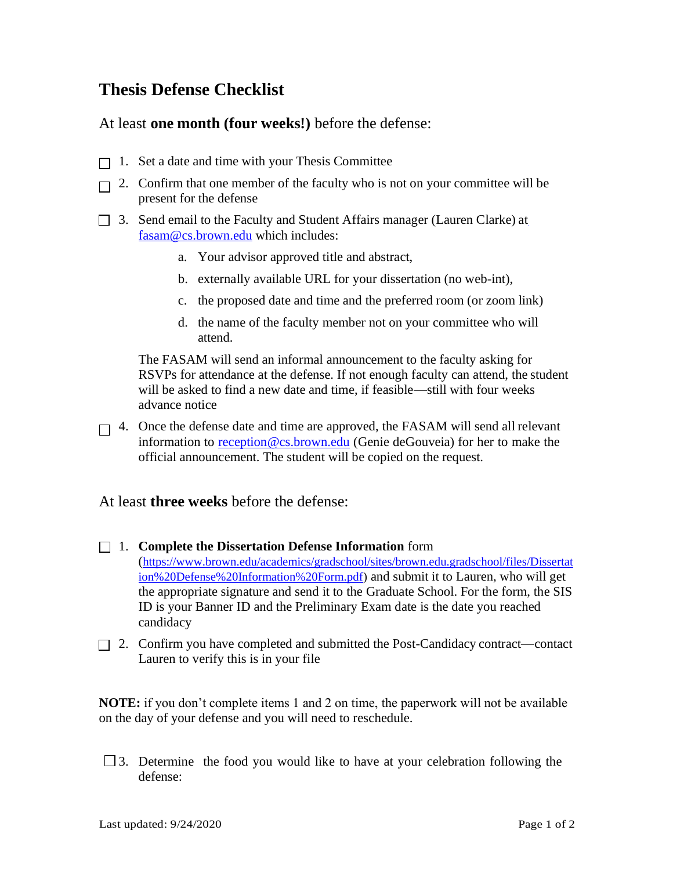## **Thesis Defense Checklist**

At least **one month (four weeks!)** before the defense:

- $\Box$  1. Set a date and time with your Thesis Committee
- $\Box$  2. Confirm that one member of the faculty who is not on your committee will be present for the defense
- $\Box$  3. Send email [t](mailto:fasam@cs.brown.edu)o the Faculty and Student Affairs manager (Lauren Clarke) at [fasam@cs.brown.edu](mailto:fasam@cs.brown.edu) which includes:
	- a. Your advisor approved title and abstract,
	- b. externally available URL for your dissertation (no web-int),
	- c. the proposed date and time and the preferred room (or zoom link)
	- d. the name of the faculty member not on your committee who will attend.

The FASAM will send an informal announcement to the faculty asking for RSVPs for attendance at the defense. If not enough faculty can attend, the student will be asked to find a new date and time, if feasible—still with four weeks advance notice

 $\Box$  4. Once the defense date and time are approved, the FASAM will send all relevant information to [reception@cs.brown.edu](mailto:reception@cs.brown.edu) (Genie deGouveia) for her to make the official announcement. The student will be copied on the request.

At least **three weeks** before the defense:

- 1. **Complete the Dissertation Defense Information** form ([https://www.brown.edu/academics/gradschool/sites/brown.edu.gradschool/files/Dissertat](https://www.brown.edu/academics/gradschool/sites/brown.edu.gradschool/files/Dissertation%20Defense%20Information%20Form.pdf) [ion%20Defense%20Information%20Form.pdf\)](https://www.brown.edu/academics/gradschool/sites/brown.edu.gradschool/files/Dissertation%20Defense%20Information%20Form.pdf) and submit it to Lauren, who will get the appropriate signature and send it to the Graduate School. For the form, the SIS ID is your Banner ID and the Preliminary Exam date is the date you reached candidacy
- 2. Confirm you have completed and submitted the Post-Candidacy contract—contact Lauren to verify this is in your file

**NOTE:** if you don't complete items 1 and 2 on time, the paperwork will not be available on the day of your defense and you will need to reschedule.

 $\Box$  3. Determine the food you would like to have at your celebration following the defense: